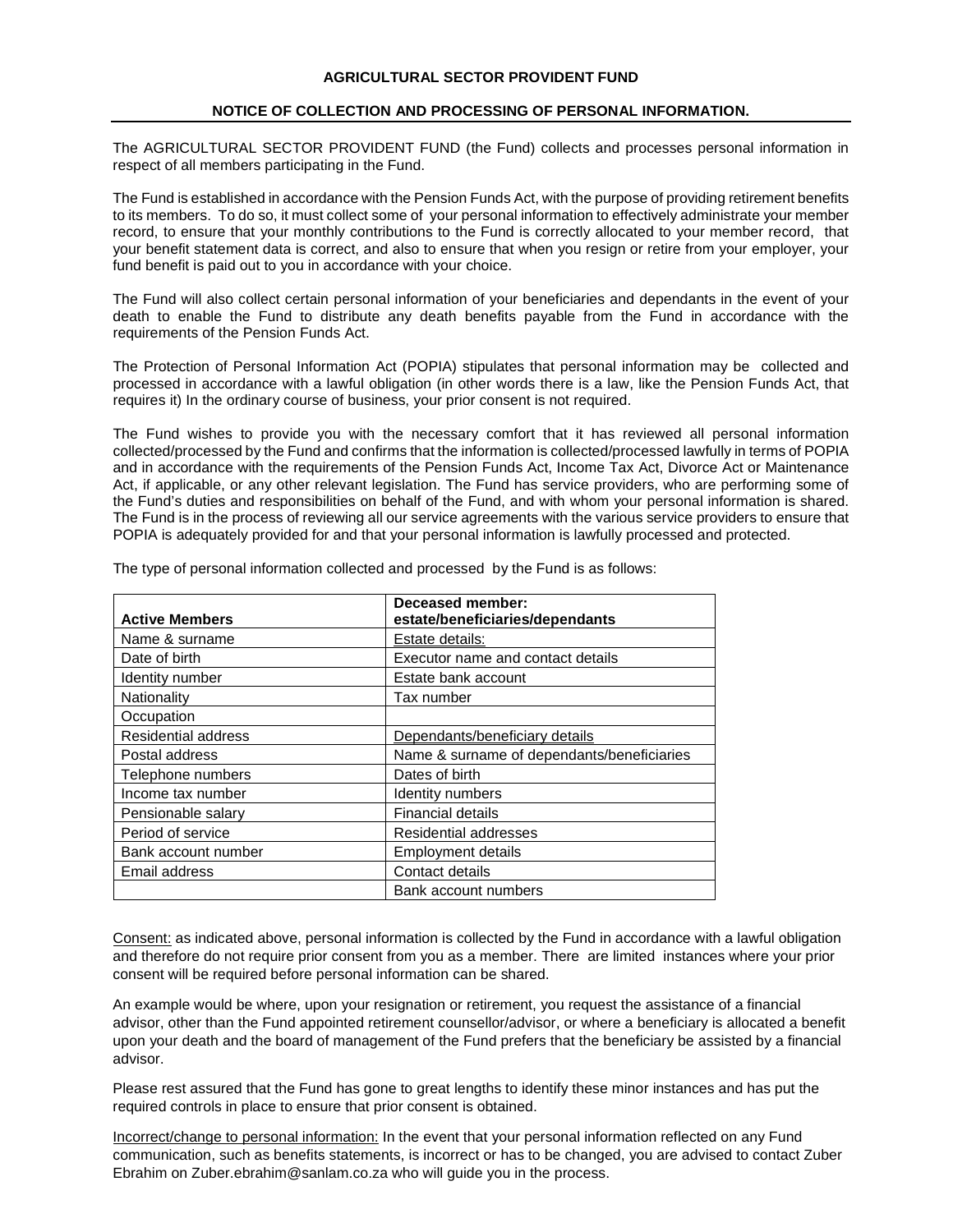## **AGRICULTURAL SECTOR PROVIDENT FUND**

## **NOTICE OF COLLECTION AND PROCESSING OF PERSONAL INFORMATION.**

The AGRICULTURAL SECTOR PROVIDENT FUND (the Fund) collects and processes personal information in respect of all members participating in the Fund.

The Fund is established in accordance with the Pension Funds Act, with the purpose of providing retirement benefits to its members. To do so, it must collect some of your personal information to effectively administrate your member record, to ensure that your monthly contributions to the Fund is correctly allocated to your member record, that your benefit statement data is correct, and also to ensure that when you resign or retire from your employer, your fund benefit is paid out to you in accordance with your choice.

The Fund will also collect certain personal information of your beneficiaries and dependants in the event of your death to enable the Fund to distribute any death benefits payable from the Fund in accordance with the requirements of the Pension Funds Act.

The Protection of Personal Information Act (POPIA) stipulates that personal information may be collected and processed in accordance with a lawful obligation (in other words there is a law, like the Pension Funds Act, that requires it) In the ordinary course of business, your prior consent is not required.

The Fund wishes to provide you with the necessary comfort that it has reviewed all personal information collected/processed by the Fund and confirms that the information is collected/processed lawfully in terms of POPIA and in accordance with the requirements of the Pension Funds Act, Income Tax Act, Divorce Act or Maintenance Act, if applicable, or any other relevant legislation. The Fund has service providers, who are performing some of the Fund's duties and responsibilities on behalf of the Fund, and with whom your personal information is shared. The Fund is in the process of reviewing all our service agreements with the various service providers to ensure that POPIA is adequately provided for and that your personal information is lawfully processed and protected.

| <b>Active Members</b> | Deceased member:<br>estate/beneficiaries/dependants |
|-----------------------|-----------------------------------------------------|
| Name & surname        | Estate details:                                     |
| Date of birth         | Executor name and contact details                   |
| Identity number       | Estate bank account                                 |
| Nationality           | Tax number                                          |
| Occupation            |                                                     |
| Residential address   | Dependants/beneficiary details                      |
| Postal address        | Name & surname of dependants/beneficiaries          |
| Telephone numbers     | Dates of birth                                      |
| Income tax number     | Identity numbers                                    |
| Pensionable salary    | Financial details                                   |
| Period of service     | Residential addresses                               |
| Bank account number   | <b>Employment details</b>                           |
| Email address         | Contact details                                     |
|                       | Bank account numbers                                |

The type of personal information collected and processed by the Fund is as follows:

Consent: as indicated above, personal information is collected by the Fund in accordance with a lawful obligation and therefore do not require prior consent from you as a member. There are limited instances where your prior consent will be required before personal information can be shared.

An example would be where, upon your resignation or retirement, you request the assistance of a financial advisor, other than the Fund appointed retirement counsellor/advisor, or where a beneficiary is allocated a benefit upon your death and the board of management of the Fund prefers that the beneficiary be assisted by a financial advisor.

Please rest assured that the Fund has gone to great lengths to identify these minor instances and has put the required controls in place to ensure that prior consent is obtained.

Incorrect/change to personal information: In the event that your personal information reflected on any Fund communication, such as benefits statements, is incorrect or has to be changed, you are advised to contact Zuber Ebrahim on Zuber.ebrahim@sanlam.co.za who will guide you in the process.